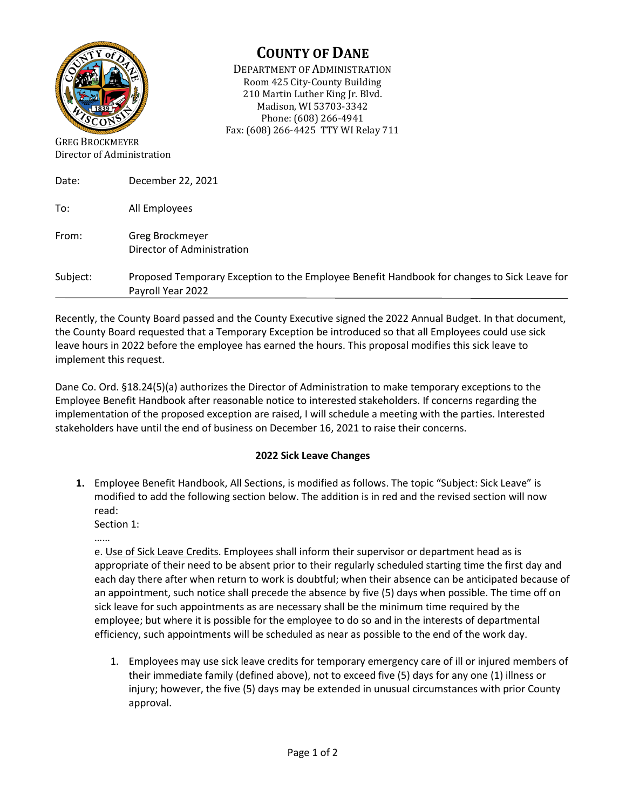

## **COUNTY OF DANE**

DEPARTMENT OF ADMINISTRATION Room 425 City-County Building 210 Martin Luther King Jr. Blvd. Madison, WI 53703-3342 Phone: (608) 266-4941 Fax: (608) 266-4425 TTY WI Relay 711

GREG BROCKMEYER Director of Administration

| Date:    | December 22, 2021                                                                                                |
|----------|------------------------------------------------------------------------------------------------------------------|
| To:      | All Employees                                                                                                    |
| From:    | Greg Brockmeyer<br>Director of Administration                                                                    |
| Subject: | Proposed Temporary Exception to the Employee Benefit Handbook for changes to Sick Leave for<br>Payroll Year 2022 |

Recently, the County Board passed and the County Executive signed the 2022 Annual Budget. In that document, the County Board requested that a Temporary Exception be introduced so that all Employees could use sick leave hours in 2022 before the employee has earned the hours. This proposal modifies this sick leave to implement this request.

Dane Co. Ord. §18.24(5)(a) authorizes the Director of Administration to make temporary exceptions to the Employee Benefit Handbook after reasonable notice to interested stakeholders. If concerns regarding the implementation of the proposed exception are raised, I will schedule a meeting with the parties. Interested stakeholders have until the end of business on December 16, 2021 to raise their concerns.

## **2022 Sick Leave Changes**

**1.** Employee Benefit Handbook, All Sections, is modified as follows. The topic "Subject: Sick Leave" is modified to add the following section below. The addition is in red and the revised section will now read:

Section 1:

……

e. Use of Sick Leave Credits. Employees shall inform their supervisor or department head as is appropriate of their need to be absent prior to their regularly scheduled starting time the first day and each day there after when return to work is doubtful; when their absence can be anticipated because of an appointment, such notice shall precede the absence by five (5) days when possible. The time off on sick leave for such appointments as are necessary shall be the minimum time required by the employee; but where it is possible for the employee to do so and in the interests of departmental efficiency, such appointments will be scheduled as near as possible to the end of the work day.

1. Employees may use sick leave credits for temporary emergency care of ill or injured members of their immediate family (defined above), not to exceed five (5) days for any one (1) illness or injury; however, the five (5) days may be extended in unusual circumstances with prior County approval.